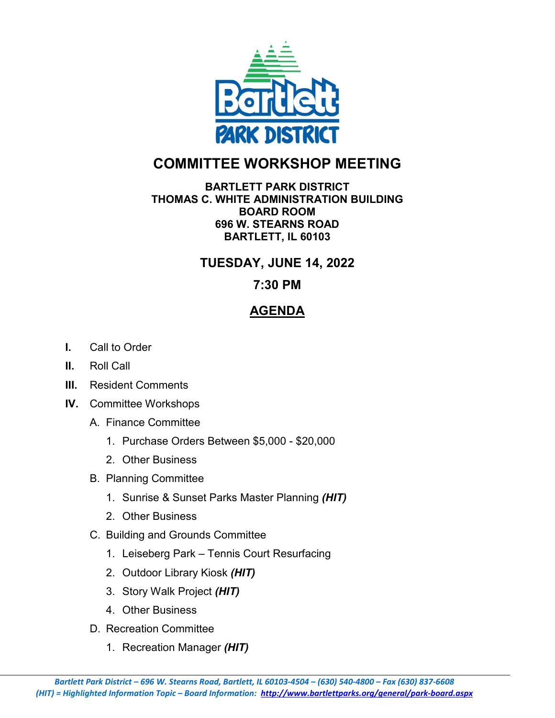

## **COMMITTEE WORKSHOP MEETING**

#### **BARTLETT PARK DISTRICT THOMAS C. WHITE ADMINISTRATION BUILDING BOARD ROOM 696 W. STEARNS ROAD BARTLETT, IL 60103**

### **TUESDAY, JUNE 14, 2022**

## **7:30 PM**

# **AGENDA**

- **I.** Call to Order
- **II.** Roll Call
- **III.** Resident Comments
- **IV.** Committee Workshops
	- A. Finance Committee
		- 1. Purchase Orders Between \$5,000 \$20,000
		- 2. Other Business
	- B. Planning Committee
		- 1. Sunrise & Sunset Parks Master Planning *(HIT)*
		- 2. Other Business
	- C. Building and Grounds Committee
		- 1. Leiseberg Park Tennis Court Resurfacing
		- 2. Outdoor Library Kiosk *(HIT)*
		- 3. Story Walk Project *(HIT)*
		- 4. Other Business
	- D. Recreation Committee
		- 1. Recreation Manager *(HIT)*